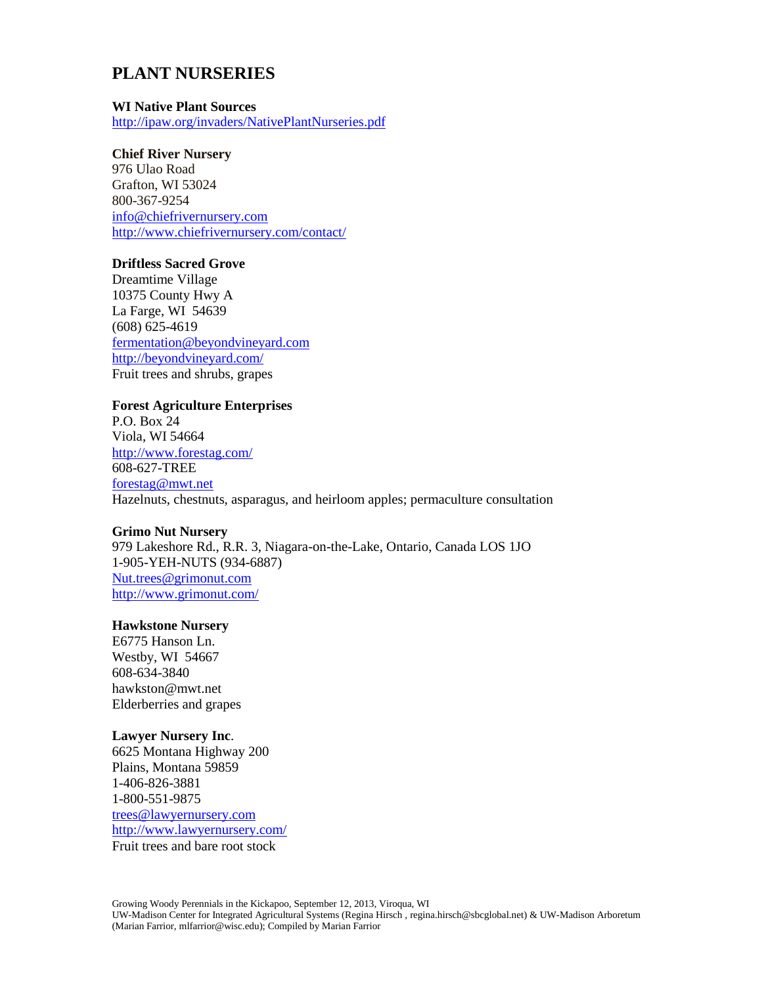# **PLANT NURSERIES**

#### **WI Native Plant Sources**

<http://ipaw.org/invaders/NativePlantNurseries.pdf>

### **Chief River Nursery**

976 Ulao Road Grafton, WI 53024 800-367-9254 [info@chiefrivernursery.com](mailto:info@chiefrivernursery.com) <http://www.chiefrivernursery.com/contact/>

### **Driftless Sacred Grove**

Dreamtime Village 10375 County Hwy A La Farge, WI 54639 (608) 625-4619 [fermentation@beyondvineyard.com](mailto:fermentation@beyondvineyard.com) <http://beyondvineyard.com/> Fruit trees and shrubs, grapes

### **Forest Agriculture Enterprises**

P.O. Box 24 Viola, WI 54664 <http://www.forestag.com/> 608-627-TREE [forestag@mwt.net](../../../../AppData/Local/Temp/forestag@mwt.net) Hazelnuts, chestnuts, asparagus, and heirloom apples; permaculture consultation

#### **Grimo Nut Nursery**

979 Lakeshore Rd., R.R. 3, Niagara-on-the-Lake, Ontario, Canada LOS 1JO 1-905-YEH-NUTS (934-6887) [Nut.trees@grimonut.com](../../../../AppData/Local/Temp/Nut.trees@grimonut.com) <http://www.grimonut.com/>

#### **Hawkstone Nursery**

E6775 Hanson Ln. Westby, WI 54667 608-634-3840 [hawkston@mwt.net](mailto:hawkston@mwt.net) Elderberries and grapes

#### **Lawyer Nursery Inc**.

6625 Montana Highway 200 Plains, Montana 59859 1-406-826-3881 1-800-551-9875 [trees@lawyernursery.com](mailto:trees@lawyernursery.com) <http://www.lawyernursery.com/> Fruit trees and bare root stock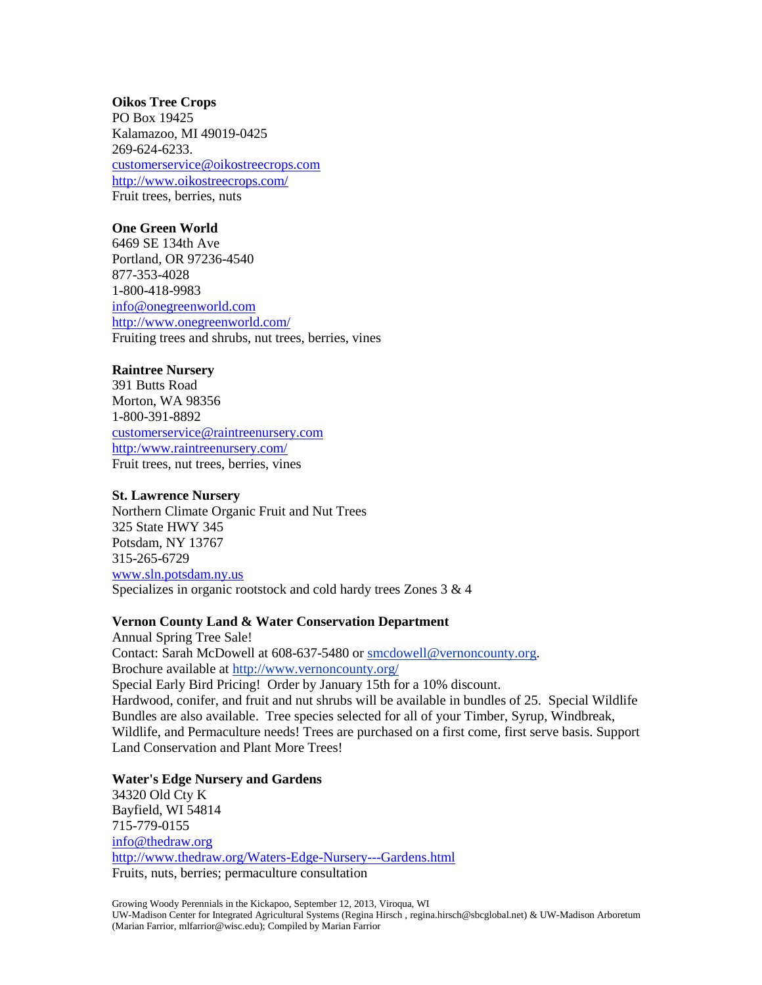### **Oikos Tree Crops**

PO Box 19425 Kalamazoo, MI 49019-0425 [269-624-6233.](http://www.oikostreecrops.com/contact.asp) [customerservice@oikostreecrops.com](mailto:customerservice@oikostreecrops.com) <http://www.oikostreecrops.com/> Fruit trees, berries, nuts

### **One Green World**

6469 SE 134th Ave Portland, OR 97236-4540 877-353-4028 1-800-418-9983 [info@onegreenworld.com](mailto:info@onegreenworld.com) <http://www.onegreenworld.com/> Fruiting trees and shrubs, nut trees, berries, vines

### **Raintree Nursery**

391 Butts Road Morton, WA 98356 1-800-391-8892 [customerservice@raintreenursery.com](mailto:customerservice@raintreenursery.com) [http:/www.raintreenursery.com/](http://www.raintreenursery.com/) Fruit trees, nut trees, berries, vines

#### **St. Lawrence Nursery**

Northern Climate Organic Fruit and Nut Trees 325 State HWY 345 Potsdam, NY 13767 315-265-6729 [www.sln.potsdam.ny.us](http://www.sln.potsdam.ny.us/) Specializes in organic rootstock and cold hardy trees Zones 3 & 4

#### **Vernon County Land & Water Conservation Department**

Annual Spring Tree Sale! Contact: Sarah McDowell at 608-637-5480 or [smcdowell@vernoncounty.org.](mailto:smcdowell@vernoncounty.org) Brochure available at<http://www.vernoncounty.org/> Special Early Bird Pricing! Order by January 15th for a 10% discount. Hardwood, conifer, and fruit and nut shrubs will be available in bundles of 25. Special Wildlife Bundles are also available. Tree species selected for all of your Timber, Syrup, Windbreak, Wildlife, and Permaculture needs! Trees are purchased on a first come, first serve basis. Support Land Conservation and Plant More Trees!

**Water's Edge Nursery and Gardens** 34320 Old Cty K Bayfield, WI 54814 715-779-0155 [info@thedraw.org](../../../../AppData/Local/Temp/info@thedraw.org) <http://www.thedraw.org/Waters-Edge-Nursery---Gardens.html> Fruits, nuts, berries; permaculture consultation